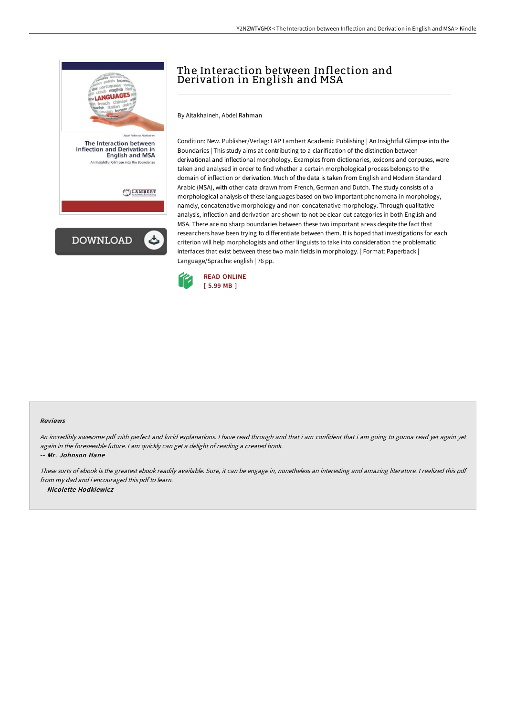

## The Interaction between Inflection and Derivation in English and MSA

By Altakhaineh, Abdel Rahman

Condition: New. Publisher/Verlag: LAP Lambert Academic Publishing | An Insightful Glimpse into the Boundaries | This study aims at contributing to a clarification of the distinction between derivational and inflectional morphology. Examples from dictionaries, lexicons and corpuses, were taken and analysed in order to find whether a certain morphological process belongs to the domain of inflection or derivation. Much of the data is taken from English and Modern Standard Arabic (MSA), with other data drawn from French, German and Dutch. The study consists of a morphological analysis of these languages based on two important phenomena in morphology, namely, concatenative morphology and non-concatenative morphology. Through qualitative analysis, inflection and derivation are shown to not be clear-cut categories in both English and MSA. There are no sharp boundaries between these two important areas despite the fact that researchers have been trying to differentiate between them. It is hoped that investigations for each criterion will help morphologists and other linguists to take into consideration the problematic interfaces that exist between these two main fields in morphology. | Format: Paperback | Language/Sprache: english | 76 pp.



## Reviews

An incredibly awesome pdf with perfect and lucid explanations. <sup>I</sup> have read through and that i am confident that i am going to gonna read yet again yet again in the foreseeable future. <sup>I</sup> am quickly can get <sup>a</sup> delight of reading <sup>a</sup> created book.

-- Mr. Johnson Hane

These sorts of ebook is the greatest ebook readily available. Sure, it can be engage in, nonetheless an interesting and amazing literature. <sup>I</sup> realized this pdf from my dad and i encouraged this pdf to learn. -- Nicolette Hodkiewicz